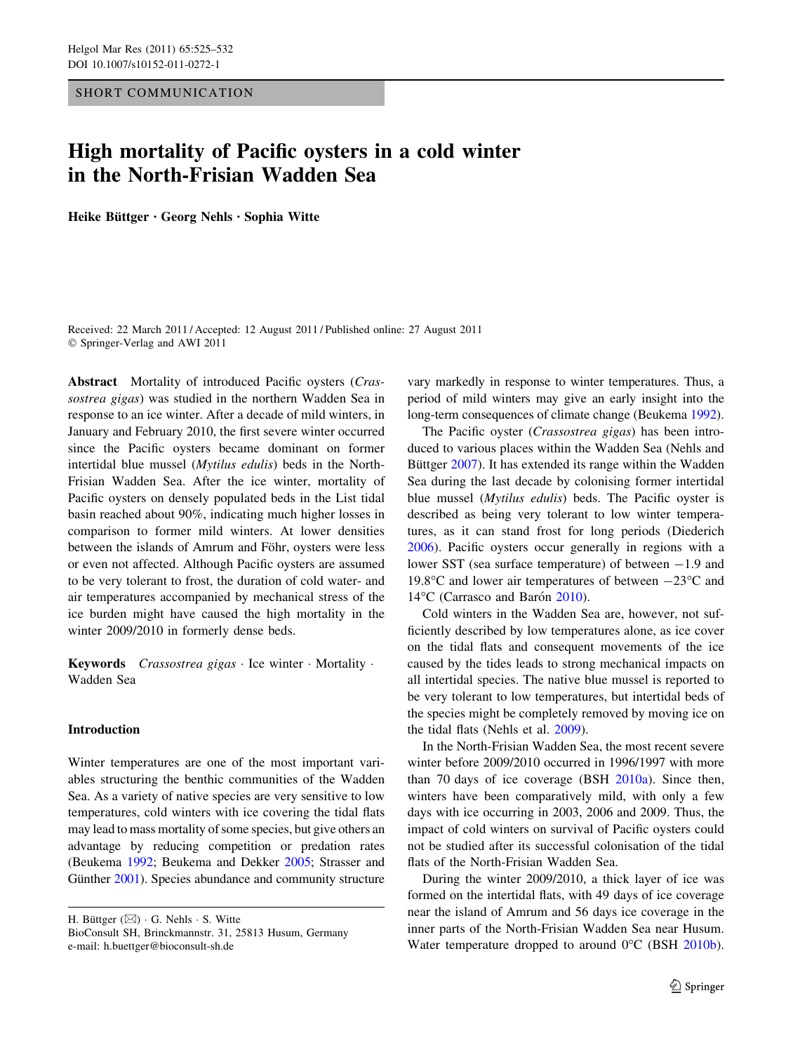### SHORT COMMUNICATION

# High mortality of Pacific oysters in a cold winter in the North-Frisian Wadden Sea

Heike Büttger · Georg Nehls · Sophia Witte

Received: 22 March 2011 / Accepted: 12 August 2011 / Published online: 27 August 2011 © Springer-Verlag and AWI 2011

Abstract Mortality of introduced Pacific oysters (Crassostrea gigas) was studied in the northern Wadden Sea in response to an ice winter. After a decade of mild winters, in January and February 2010, the first severe winter occurred since the Pacific oysters became dominant on former intertidal blue mussel (Mytilus edulis) beds in the North-Frisian Wadden Sea. After the ice winter, mortality of Pacific oysters on densely populated beds in the List tidal basin reached about 90%, indicating much higher losses in comparison to former mild winters. At lower densities between the islands of Amrum and Föhr, oysters were less or even not affected. Although Pacific oysters are assumed to be very tolerant to frost, the duration of cold water- and air temperatures accompanied by mechanical stress of the ice burden might have caused the high mortality in the winter 2009/2010 in formerly dense beds.

Keywords Crassostrea gigas · Ice winter · Mortality · Wadden Sea

## Introduction

Winter temperatures are one of the most important variables structuring the benthic communities of the Wadden Sea. As a variety of native species are very sensitive to low temperatures, cold winters with ice covering the tidal flats may lead to mass mortality of some species, but give others an advantage by reducing competition or predation rates (Beukema [1992;](#page-7-0) Beukema and Dekker [2005](#page-7-0); Strasser and Günther [2001](#page-7-0)). Species abundance and community structure

H. Büttger ( $\boxtimes$ ) · G. Nehls · S. Witte BioConsult SH, Brinckmannstr. 31, 25813 Husum, Germany e-mail: h.buettger@bioconsult-sh.de

vary markedly in response to winter temperatures. Thus, a period of mild winters may give an early insight into the long-term consequences of climate change (Beukema [1992](#page-7-0)).

The Pacific oyster (Crassostrea gigas) has been introduced to various places within the Wadden Sea (Nehls and Büttger [2007\)](#page-7-0). It has extended its range within the Wadden Sea during the last decade by colonising former intertidal blue mussel (Mytilus edulis) beds. The Pacific oyster is described as being very tolerant to low winter temperatures, as it can stand frost for long periods (Diederich [2006](#page-7-0)). Pacific oysters occur generally in regions with a lower SST (sea surface temperature) of between  $-1.9$  and 19.8°C and lower air temperatures of between  $-23$ °C and 14°C (Carrasco and Barón [2010\)](#page-7-0).

Cold winters in the Wadden Sea are, however, not sufficiently described by low temperatures alone, as ice cover on the tidal flats and consequent movements of the ice caused by the tides leads to strong mechanical impacts on all intertidal species. The native blue mussel is reported to be very tolerant to low temperatures, but intertidal beds of the species might be completely removed by moving ice on the tidal flats (Nehls et al. [2009](#page-7-0)).

In the North-Frisian Wadden Sea, the most recent severe winter before 2009/2010 occurred in 1996/1997 with more than 70 days of ice coverage (BSH [2010a\)](#page-7-0). Since then, winters have been comparatively mild, with only a few days with ice occurring in 2003, 2006 and 2009. Thus, the impact of cold winters on survival of Pacific oysters could not be studied after its successful colonisation of the tidal flats of the North-Frisian Wadden Sea.

During the winter 2009/2010, a thick layer of ice was formed on the intertidal flats, with 49 days of ice coverage near the island of Amrum and 56 days ice coverage in the inner parts of the North-Frisian Wadden Sea near Husum. Water temperature dropped to around  $0^{\circ}$ C (BSH [2010b](#page-7-0)).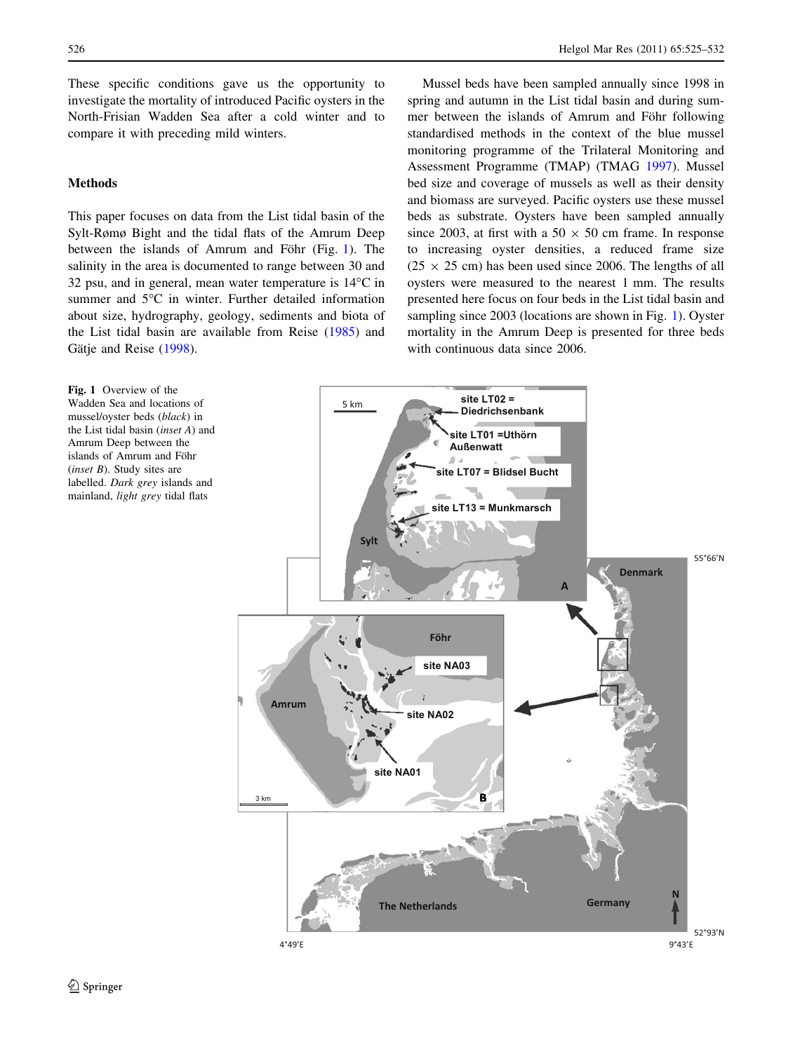<span id="page-1-0"></span>These specific conditions gave us the opportunity to investigate the mortality of introduced Pacific oysters in the North-Frisian Wadden Sea after a cold winter and to compare it with preceding mild winters.

## Methods

This paper focuses on data from the List tidal basin of the Sylt-Rømø Bight and the tidal flats of the Amrum Deep between the islands of Amrum and Föhr (Fig. 1). The salinity in the area is documented to range between 30 and 32 psu, and in general, mean water temperature is  $14^{\circ}$ C in summer and  $5^{\circ}$ C in winter. Further detailed information about size, hydrography, geology, sediments and biota of the List tidal basin are available from Reise ([1985\)](#page-7-0) and Gätje and Reise ([1998\)](#page-7-0).

Fig. 1 Overview of the Wadden Sea and locations of mussel/oyster beds (black) in the List tidal basin (inset A) and Amrum Deep between the islands of Amrum and Föhr (*inset B*). Study sites are labelled. Dark grey islands and mainland, light grey tidal flats

Mussel beds have been sampled annually since 1998 in spring and autumn in the List tidal basin and during summer between the islands of Amrum and Föhr following standardised methods in the context of the blue mussel monitoring programme of the Trilateral Monitoring and Assessment Programme (TMAP) (TMAG [1997](#page-7-0)). Mussel bed size and coverage of mussels as well as their density and biomass are surveyed. Pacific oysters use these mussel beds as substrate. Oysters have been sampled annually since 2003, at first with a  $50 \times 50$  cm frame. In response to increasing oyster densities, a reduced frame size  $(25 \times 25$  cm) has been used since 2006. The lengths of all oysters were measured to the nearest 1 mm. The results presented here focus on four beds in the List tidal basin and sampling since 2003 (locations are shown in Fig. 1). Oyster mortality in the Amrum Deep is presented for three beds with continuous data since 2006.

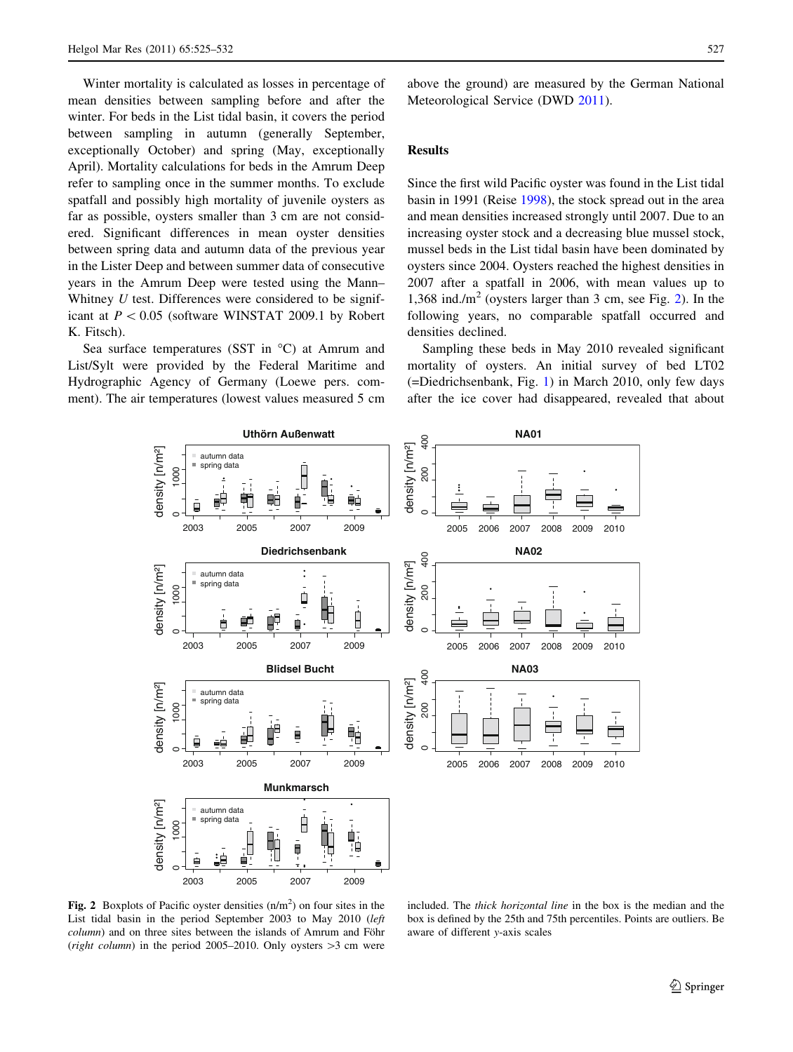<span id="page-2-0"></span>Winter mortality is calculated as losses in percentage of mean densities between sampling before and after the winter. For beds in the List tidal basin, it covers the period between sampling in autumn (generally September, exceptionally October) and spring (May, exceptionally April). Mortality calculations for beds in the Amrum Deep refer to sampling once in the summer months. To exclude spatfall and possibly high mortality of juvenile oysters as far as possible, oysters smaller than 3 cm are not considered. Significant differences in mean oyster densities between spring data and autumn data of the previous year in the Lister Deep and between summer data of consecutive years in the Amrum Deep were tested using the Mann– Whitney  $U$  test. Differences were considered to be significant at  $P < 0.05$  (software WINSTAT 2009.1 by Robert K. Fitsch).

Sea surface temperatures (SST in  $°C$ ) at Amrum and List/Sylt were provided by the Federal Maritime and Hydrographic Agency of Germany (Loewe pers. comment). The air temperatures (lowest values measured 5 cm above the ground) are measured by the German National Meteorological Service (DWD [2011\)](#page-7-0).

## Results

Since the first wild Pacific oyster was found in the List tidal basin in 1991 (Reise [1998](#page-7-0)), the stock spread out in the area and mean densities increased strongly until 2007. Due to an increasing oyster stock and a decreasing blue mussel stock, mussel beds in the List tidal basin have been dominated by oysters since 2004. Oysters reached the highest densities in 2007 after a spatfall in 2006, with mean values up to 1,368 ind./ $m<sup>2</sup>$  (oysters larger than 3 cm, see Fig. 2). In the following years, no comparable spatfall occurred and densities declined.

Sampling these beds in May 2010 revealed significant mortality of oysters. An initial survey of bed LT02 (=Diedrichsenbank, Fig. [1\)](#page-1-0) in March 2010, only few days after the ice cover had disappeared, revealed that about



Fig. 2 Boxplots of Pacific oyster densities  $(n/m^2)$  on four sites in the List tidal basin in the period September 2003 to May 2010 (left column) and on three sites between the islands of Amrum and Föhr (*right column*) in the period 2005–2010. Only oysters  $>3$  cm were

included. The thick horizontal line in the box is the median and the box is defined by the 25th and 75th percentiles. Points are outliers. Be aware of different y-axis scales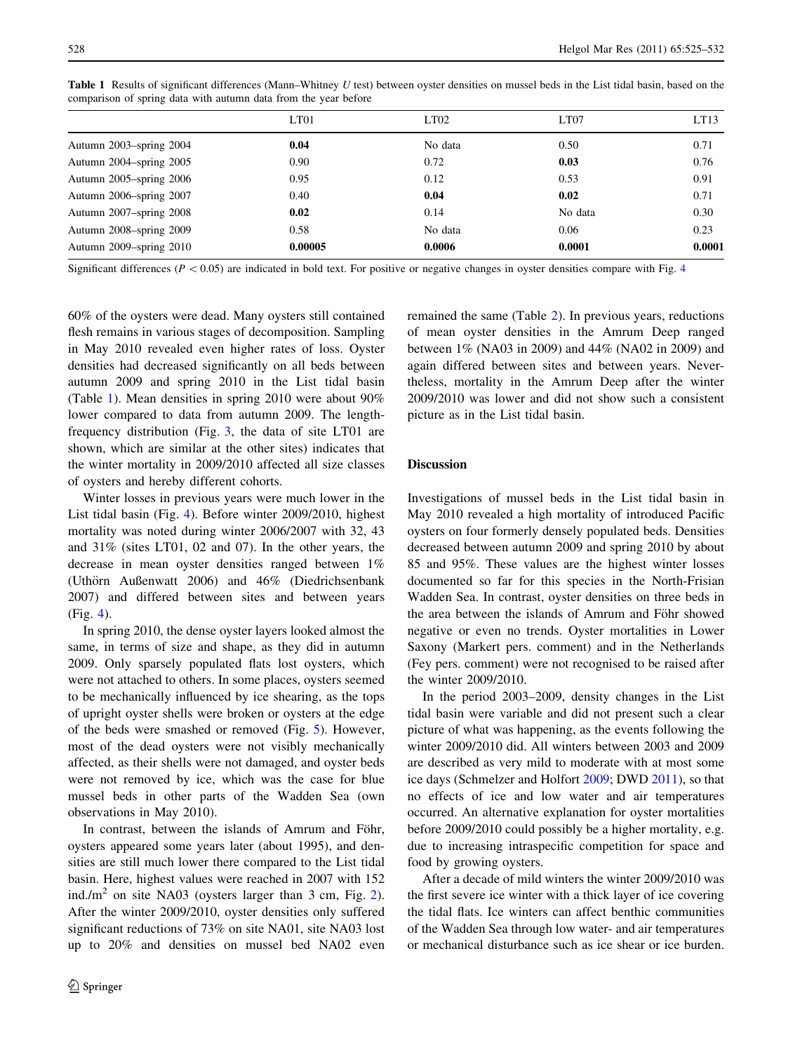|                         | LT01    | LT02    | <b>LT07</b> | LT13   |
|-------------------------|---------|---------|-------------|--------|
| Autumn 2003–spring 2004 | 0.04    | No data | 0.50        | 0.71   |
| Autumn 2004–spring 2005 | 0.90    | 0.72    | 0.03        | 0.76   |
| Autumn 2005-spring 2006 | 0.95    | 0.12    | 0.53        | 0.91   |
| Autumn 2006-spring 2007 | 0.40    | 0.04    | 0.02        | 0.71   |
| Autumn 2007-spring 2008 | 0.02    | 0.14    | No data     | 0.30   |
| Autumn 2008-spring 2009 | 0.58    | No data | 0.06        | 0.23   |
| Autumn 2009–spring 2010 | 0.00005 | 0.0006  | 0.0001      | 0.0001 |

Table 1 Results of significant differences (Mann–Whitney  $U$  test) between oyster densities on mussel beds in the List tidal basin, based on the comparison of spring data with autumn data from the year before

Significant differences ( $P < 0.05$ ) are indicated in bold text. For positive or negative changes in oyster densities compare with Fig. [4](#page-5-0)

60% of the oysters were dead. Many oysters still contained flesh remains in various stages of decomposition. Sampling in May 2010 revealed even higher rates of loss. Oyster densities had decreased significantly on all beds between autumn 2009 and spring 2010 in the List tidal basin (Table 1). Mean densities in spring 2010 were about 90% lower compared to data from autumn 2009. The lengthfrequency distribution (Fig. [3,](#page-4-0) the data of site LT01 are shown, which are similar at the other sites) indicates that the winter mortality in 2009/2010 affected all size classes of oysters and hereby different cohorts.

Winter losses in previous years were much lower in the List tidal basin (Fig. [4](#page-5-0)). Before winter 2009/2010, highest mortality was noted during winter 2006/2007 with 32, 43 and 31% (sites LT01, 02 and 07). In the other years, the decrease in mean oyster densities ranged between 1% (Uthörn Außenwatt 2006) and 46% (Diedrichsenbank 2007) and differed between sites and between years (Fig. [4](#page-5-0)).

In spring 2010, the dense oyster layers looked almost the same, in terms of size and shape, as they did in autumn 2009. Only sparsely populated flats lost oysters, which were not attached to others. In some places, oysters seemed to be mechanically influenced by ice shearing, as the tops of upright oyster shells were broken or oysters at the edge of the beds were smashed or removed (Fig. [5](#page-5-0)). However, most of the dead oysters were not visibly mechanically affected, as their shells were not damaged, and oyster beds were not removed by ice, which was the case for blue mussel beds in other parts of the Wadden Sea (own observations in May 2010).

In contrast, between the islands of Amrum and Föhr, oysters appeared some years later (about 1995), and densities are still much lower there compared to the List tidal basin. Here, highest values were reached in 2007 with 152 ind./m<sup>[2](#page-2-0)</sup> on site NA03 (oysters larger than 3 cm, Fig. 2). After the winter 2009/2010, oyster densities only suffered significant reductions of 73% on site NA01, site NA03 lost up to 20% and densities on mussel bed NA02 even remained the same (Table [2](#page-5-0)). In previous years, reductions of mean oyster densities in the Amrum Deep ranged between 1% (NA03 in 2009) and 44% (NA02 in 2009) and again differed between sites and between years. Nevertheless, mortality in the Amrum Deep after the winter 2009/2010 was lower and did not show such a consistent picture as in the List tidal basin.

## Discussion

Investigations of mussel beds in the List tidal basin in May 2010 revealed a high mortality of introduced Pacific oysters on four formerly densely populated beds. Densities decreased between autumn 2009 and spring 2010 by about 85 and 95%. These values are the highest winter losses documented so far for this species in the North-Frisian Wadden Sea. In contrast, oyster densities on three beds in the area between the islands of Amrum and Föhr showed negative or even no trends. Oyster mortalities in Lower Saxony (Markert pers. comment) and in the Netherlands (Fey pers. comment) were not recognised to be raised after the winter 2009/2010.

In the period 2003–2009, density changes in the List tidal basin were variable and did not present such a clear picture of what was happening, as the events following the winter 2009/2010 did. All winters between 2003 and 2009 are described as very mild to moderate with at most some ice days (Schmelzer and Holfort [2009](#page-7-0); DWD [2011\)](#page-7-0), so that no effects of ice and low water and air temperatures occurred. An alternative explanation for oyster mortalities before 2009/2010 could possibly be a higher mortality, e.g. due to increasing intraspecific competition for space and food by growing oysters.

After a decade of mild winters the winter 2009/2010 was the first severe ice winter with a thick layer of ice covering the tidal flats. Ice winters can affect benthic communities of the Wadden Sea through low water- and air temperatures or mechanical disturbance such as ice shear or ice burden.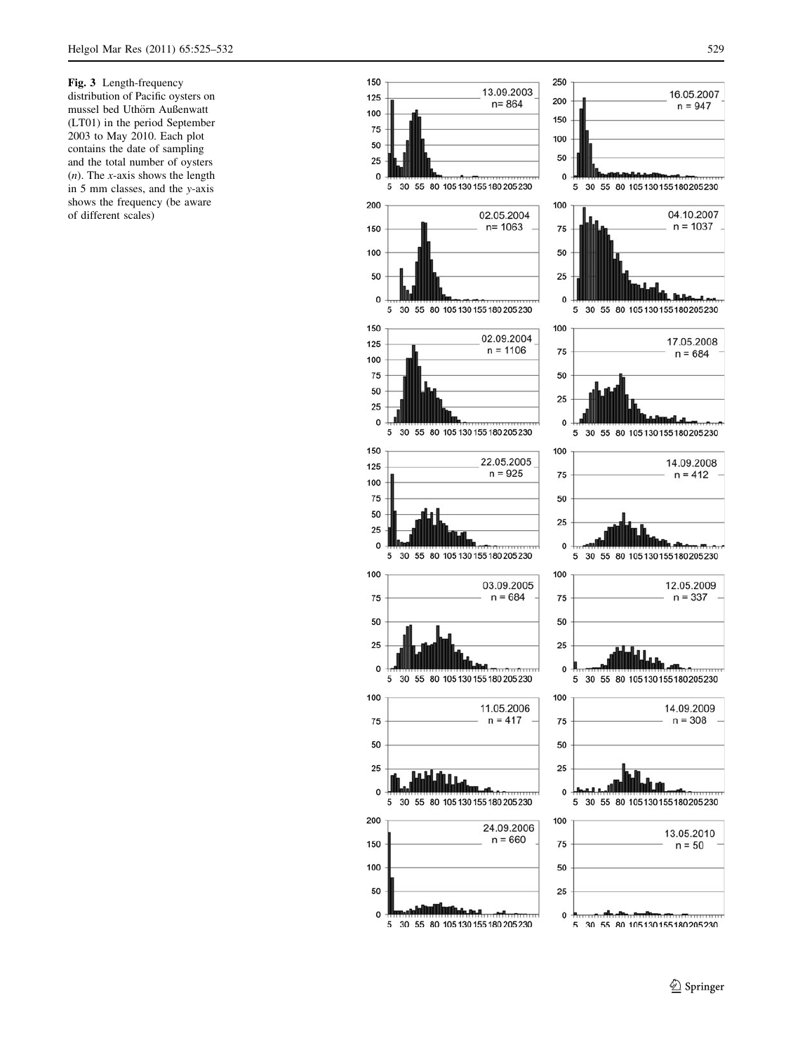Fig. 3 Length-frequency distribution of Pacific oysters on mussel bed Uthörn Außenwatt (LT01) in the period September 2003 to May 2010. Each plot contains the date of sampling and the total number of oysters  $(n)$ . The *x*-axis shows the length in 5 mm classes, and the y-axis shows the frequency (be aware of different scales)

<span id="page-4-0"></span>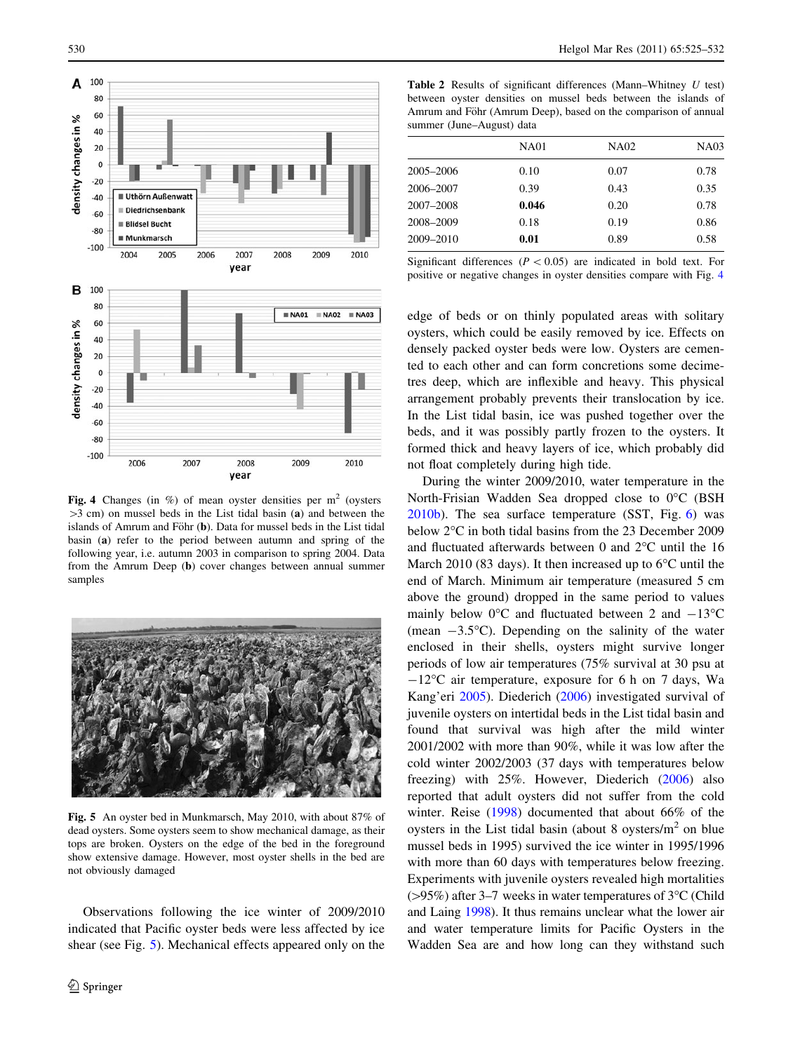<span id="page-5-0"></span>

Fig. 4 Changes (in  $\%$ ) of mean oyster densities per m<sup>2</sup> (oysters  $>3$  cm) on mussel beds in the List tidal basin (a) and between the islands of Amrum and Föhr (b). Data for mussel beds in the List tidal basin (a) refer to the period between autumn and spring of the following year, i.e. autumn 2003 in comparison to spring 2004. Data from the Amrum Deep (b) cover changes between annual summer samples



Fig. 5 An oyster bed in Munkmarsch, May 2010, with about 87% of dead oysters. Some oysters seem to show mechanical damage, as their tops are broken. Oysters on the edge of the bed in the foreground show extensive damage. However, most oyster shells in the bed are not obviously damaged

Observations following the ice winter of 2009/2010 indicated that Pacific oyster beds were less affected by ice shear (see Fig. 5). Mechanical effects appeared only on the Table 2 Results of significant differences (Mann–Whitney U test) between oyster densities on mussel beds between the islands of Amrum and Föhr (Amrum Deep), based on the comparison of annual summer (June–August) data

|           | <b>NA01</b> | <b>NA02</b> | <b>NA03</b> |
|-----------|-------------|-------------|-------------|
| 2005-2006 | 0.10        | 0.07        | 0.78        |
| 2006-2007 | 0.39        | 0.43        | 0.35        |
| 2007-2008 | 0.046       | 0.20        | 0.78        |
| 2008-2009 | 0.18        | 0.19        | 0.86        |
| 2009-2010 | 0.01        | 0.89        | 0.58        |

Significant differences ( $P < 0.05$ ) are indicated in bold text. For positive or negative changes in oyster densities compare with Fig. 4

edge of beds or on thinly populated areas with solitary oysters, which could be easily removed by ice. Effects on densely packed oyster beds were low. Oysters are cemented to each other and can form concretions some decimetres deep, which are inflexible and heavy. This physical arrangement probably prevents their translocation by ice. In the List tidal basin, ice was pushed together over the beds, and it was possibly partly frozen to the oysters. It formed thick and heavy layers of ice, which probably did not float completely during high tide.

During the winter 2009/2010, water temperature in the North-Frisian Wadden Sea dropped close to  $0^{\circ}$ C (BSH [2010b](#page-7-0)). The sea surface temperature (SST, Fig. [6](#page-6-0)) was below  $2^{\circ}$ C in both tidal basins from the 23 December 2009 and fluctuated afterwards between 0 and  $2^{\circ}$ C until the 16 March 2010 (83 days). It then increased up to  $6^{\circ}$ C until the end of March. Minimum air temperature (measured 5 cm above the ground) dropped in the same period to values mainly below  $0^{\circ}$ C and fluctuated between 2 and  $-13^{\circ}$ C (mean  $-3.5^{\circ}$ C). Depending on the salinity of the water enclosed in their shells, oysters might survive longer periods of low air temperatures (75% survival at 30 psu at  $-12^{\circ}$ C air temperature, exposure for 6 h on 7 days, Wa Kang'eri [2005](#page-7-0)). Diederich [\(2006](#page-7-0)) investigated survival of juvenile oysters on intertidal beds in the List tidal basin and found that survival was high after the mild winter 2001/2002 with more than 90%, while it was low after the cold winter 2002/2003 (37 days with temperatures below freezing) with 25%. However, Diederich ([2006\)](#page-7-0) also reported that adult oysters did not suffer from the cold winter. Reise ([1998\)](#page-7-0) documented that about 66% of the oysters in the List tidal basin (about 8 oysters/ $m<sup>2</sup>$  on blue mussel beds in 1995) survived the ice winter in 1995/1996 with more than 60 days with temperatures below freezing. Experiments with juvenile oysters revealed high mortalities ( $>95\%$ ) after 3–7 weeks in water temperatures of 3°C (Child and Laing [1998\)](#page-7-0). It thus remains unclear what the lower air and water temperature limits for Pacific Oysters in the Wadden Sea are and how long can they withstand such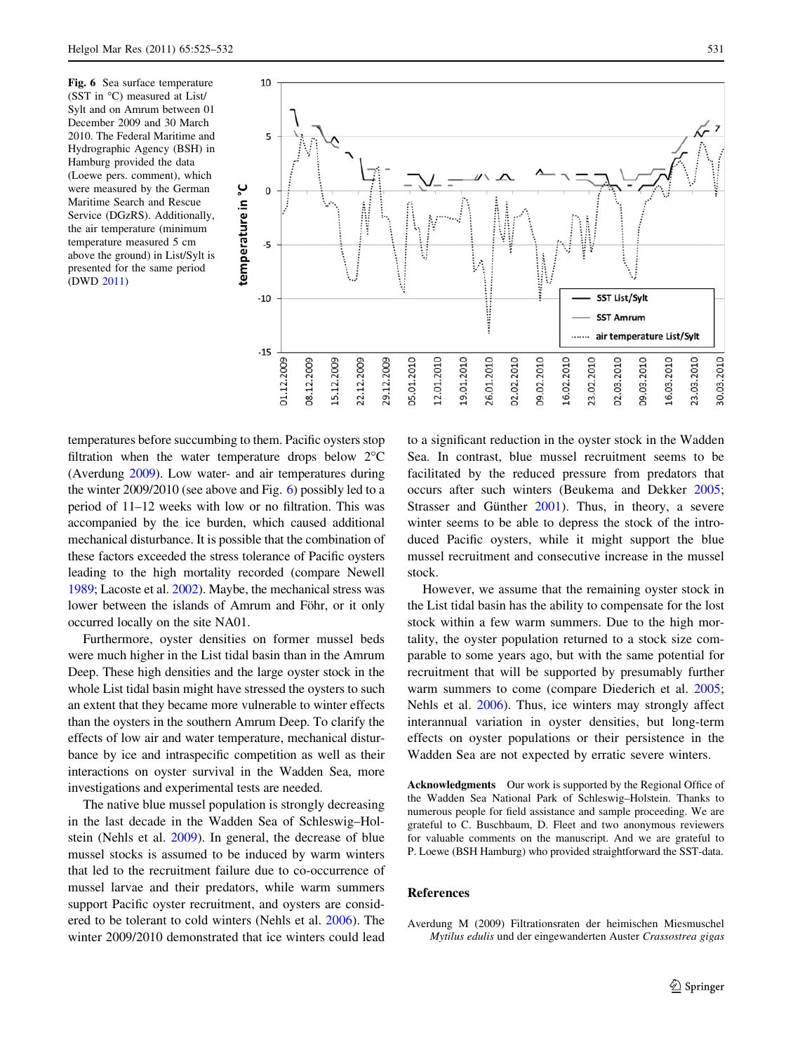<span id="page-6-0"></span>Fig. 6 Sea surface temperature (SST in  $^{\circ}$ C) measured at List/ Sylt and on Amrum between 01 December 2009 and 30 March 2010. The Federal Maritime and Hydrographic Agency (BSH) in Hamburg provided the data (Loewe pers. comment), which were measured by the German Maritime Search and Rescue Service (DGzRS). Additionally, the air temperature (minimum temperature measured 5 cm above the ground) in List/Sylt is presented for the same period (DWD [2011\)](#page-7-0)



temperatures before succumbing to them. Pacific oysters stop filtration when the water temperature drops below  $2^{\circ}C$ (Averdung 2009). Low water- and air temperatures during the winter 2009/2010 (see above and Fig. 6) possibly led to a period of 11–12 weeks with low or no filtration. This was accompanied by the ice burden, which caused additional mechanical disturbance. It is possible that the combination of these factors exceeded the stress tolerance of Pacific oysters leading to the high mortality recorded (compare Newell [1989;](#page-7-0) Lacoste et al. [2002\)](#page-7-0). Maybe, the mechanical stress was lower between the islands of Amrum and Föhr, or it only occurred locally on the site NA01.

Furthermore, oyster densities on former mussel beds were much higher in the List tidal basin than in the Amrum Deep. These high densities and the large oyster stock in the whole List tidal basin might have stressed the oysters to such an extent that they became more vulnerable to winter effects than the oysters in the southern Amrum Deep. To clarify the effects of low air and water temperature, mechanical disturbance by ice and intraspecific competition as well as their interactions on oyster survival in the Wadden Sea, more investigations and experimental tests are needed.

The native blue mussel population is strongly decreasing in the last decade in the Wadden Sea of Schleswig–Holstein (Nehls et al. [2009](#page-7-0)). In general, the decrease of blue mussel stocks is assumed to be induced by warm winters that led to the recruitment failure due to co-occurrence of mussel larvae and their predators, while warm summers support Pacific oyster recruitment, and oysters are considered to be tolerant to cold winters (Nehls et al. [2006\)](#page-7-0). The winter 2009/2010 demonstrated that ice winters could lead to a significant reduction in the oyster stock in the Wadden Sea. In contrast, blue mussel recruitment seems to be facilitated by the reduced pressure from predators that occurs after such winters (Beukema and Dekker [2005](#page-7-0); Strasser and Günther  $2001$ ). Thus, in theory, a severe winter seems to be able to depress the stock of the introduced Pacific oysters, while it might support the blue mussel recruitment and consecutive increase in the mussel stock.

However, we assume that the remaining oyster stock in the List tidal basin has the ability to compensate for the lost stock within a few warm summers. Due to the high mortality, the oyster population returned to a stock size comparable to some years ago, but with the same potential for recruitment that will be supported by presumably further warm summers to come (compare Diederich et al. [2005](#page-7-0); Nehls et al. [2006](#page-7-0)). Thus, ice winters may strongly affect interannual variation in oyster densities, but long-term effects on oyster populations or their persistence in the Wadden Sea are not expected by erratic severe winters.

Acknowledgments Our work is supported by the Regional Office of the Wadden Sea National Park of Schleswig–Holstein. Thanks to numerous people for field assistance and sample proceeding. We are grateful to C. Buschbaum, D. Fleet and two anonymous reviewers for valuable comments on the manuscript. And we are grateful to P. Loewe (BSH Hamburg) who provided straightforward the SST-data.

#### References

Averdung M (2009) Filtrationsraten der heimischen Miesmuschel Mytilus edulis und der eingewanderten Auster Crassostrea gigas